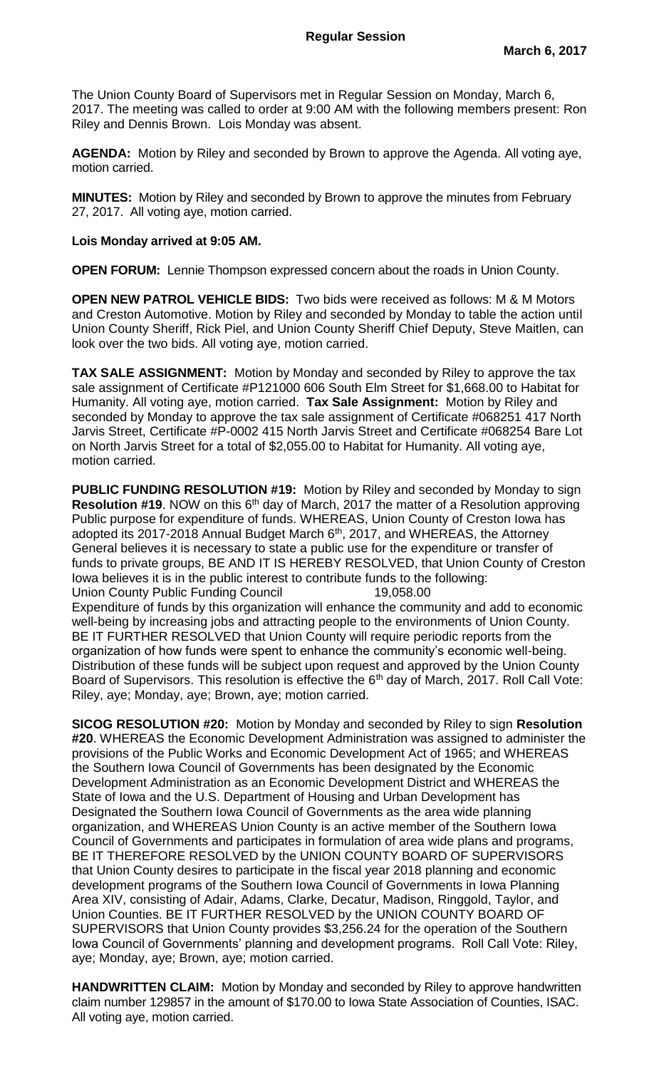The Union County Board of Supervisors met in Regular Session on Monday, March 6, 2017. The meeting was called to order at 9:00 AM with the following members present: Ron Riley and Dennis Brown. Lois Monday was absent.

**AGENDA:** Motion by Riley and seconded by Brown to approve the Agenda. All voting aye, motion carried.

**MINUTES:** Motion by Riley and seconded by Brown to approve the minutes from February 27, 2017. All voting aye, motion carried.

## **Lois Monday arrived at 9:05 AM.**

**OPEN FORUM:** Lennie Thompson expressed concern about the roads in Union County.

**OPEN NEW PATROL VEHICLE BIDS:** Two bids were received as follows: M & M Motors and Creston Automotive. Motion by Riley and seconded by Monday to table the action until Union County Sheriff, Rick Piel, and Union County Sheriff Chief Deputy, Steve Maitlen, can look over the two bids. All voting aye, motion carried.

**TAX SALE ASSIGNMENT:** Motion by Monday and seconded by Riley to approve the tax sale assignment of Certificate #P121000 606 South Elm Street for \$1,668.00 to Habitat for Humanity. All voting aye, motion carried. **Tax Sale Assignment:** Motion by Riley and seconded by Monday to approve the tax sale assignment of Certificate #068251 417 North Jarvis Street, Certificate #P-0002 415 North Jarvis Street and Certificate #068254 Bare Lot on North Jarvis Street for a total of \$2,055.00 to Habitat for Humanity. All voting aye, motion carried.

**PUBLIC FUNDING RESOLUTION #19:** Motion by Riley and seconded by Monday to sign **Resolution #19.** NOW on this 6<sup>th</sup> day of March, 2017 the matter of a Resolution approving Public purpose for expenditure of funds. WHEREAS, Union County of Creston Iowa has adopted its 2017-2018 Annual Budget March 6<sup>th</sup>, 2017, and WHEREAS, the Attorney General believes it is necessary to state a public use for the expenditure or transfer of funds to private groups, BE AND IT IS HEREBY RESOLVED, that Union County of Creston Iowa believes it is in the public interest to contribute funds to the following: Union County Public Funding Council 19,058.00 Expenditure of funds by this organization will enhance the community and add to economic well-being by increasing jobs and attracting people to the environments of Union County. BE IT FURTHER RESOLVED that Union County will require periodic reports from the organization of how funds were spent to enhance the community's economic well-being.

Distribution of these funds will be subject upon request and approved by the Union County Board of Supervisors. This resolution is effective the 6<sup>th</sup> day of March, 2017. Roll Call Vote: Riley, aye; Monday, aye; Brown, aye; motion carried.

**SICOG RESOLUTION #20:** Motion by Monday and seconded by Riley to sign **Resolution #20**. WHEREAS the Economic Development Administration was assigned to administer the provisions of the Public Works and Economic Development Act of 1965; and WHEREAS the Southern Iowa Council of Governments has been designated by the Economic Development Administration as an Economic Development District and WHEREAS the State of Iowa and the U.S. Department of Housing and Urban Development has Designated the Southern Iowa Council of Governments as the area wide planning organization, and WHEREAS Union County is an active member of the Southern Iowa Council of Governments and participates in formulation of area wide plans and programs, BE IT THEREFORE RESOLVED by the UNION COUNTY BOARD OF SUPERVISORS that Union County desires to participate in the fiscal year 2018 planning and economic development programs of the Southern Iowa Council of Governments in Iowa Planning Area XIV, consisting of Adair, Adams, Clarke, Decatur, Madison, Ringgold, Taylor, and Union Counties. BE IT FURTHER RESOLVED by the UNION COUNTY BOARD OF SUPERVISORS that Union County provides \$3,256.24 for the operation of the Southern Iowa Council of Governments' planning and development programs. Roll Call Vote: Riley, aye; Monday, aye; Brown, aye; motion carried.

**HANDWRITTEN CLAIM:** Motion by Monday and seconded by Riley to approve handwritten claim number 129857 in the amount of \$170.00 to Iowa State Association of Counties, ISAC. All voting aye, motion carried.